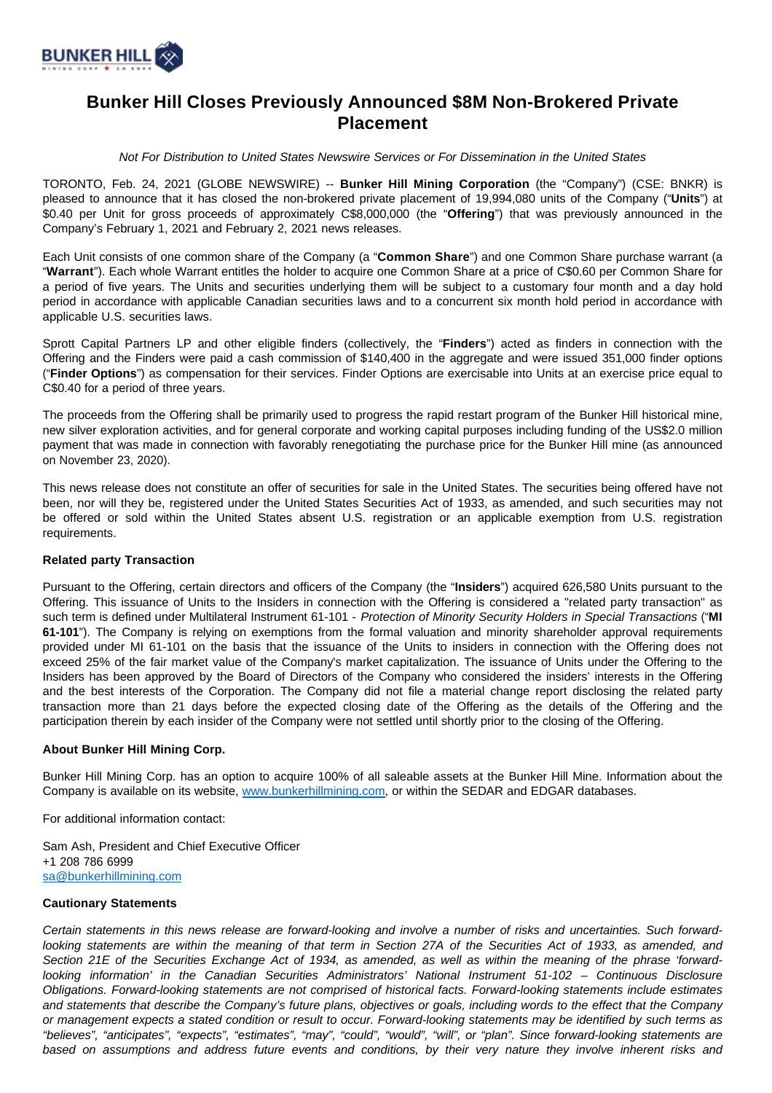

# **Bunker Hill Closes Previously Announced \$8M Non-Brokered Private Placement**

Not For Distribution to United States Newswire Services or For Dissemination in the United States

TORONTO, Feb. 24, 2021 (GLOBE NEWSWIRE) -- **Bunker Hill Mining Corporation** (the "Company") (CSE: BNKR) is pleased to announce that it has closed the non-brokered private placement of 19,994,080 units of the Company ("**Units**") at \$0.40 per Unit for gross proceeds of approximately C\$8,000,000 (the "**Offering**") that was previously announced in the Company's February 1, 2021 and February 2, 2021 news releases.

Each Unit consists of one common share of the Company (a "**Common Share**") and one Common Share purchase warrant (a "**Warrant**"). Each whole Warrant entitles the holder to acquire one Common Share at a price of C\$0.60 per Common Share for a period of five years. The Units and securities underlying them will be subject to a customary four month and a day hold period in accordance with applicable Canadian securities laws and to a concurrent six month hold period in accordance with applicable U.S. securities laws.

Sprott Capital Partners LP and other eligible finders (collectively, the "**Finders**") acted as finders in connection with the Offering and the Finders were paid a cash commission of \$140,400 in the aggregate and were issued 351,000 finder options ("**Finder Options**") as compensation for their services. Finder Options are exercisable into Units at an exercise price equal to C\$0.40 for a period of three years.

The proceeds from the Offering shall be primarily used to progress the rapid restart program of the Bunker Hill historical mine, new silver exploration activities, and for general corporate and working capital purposes including funding of the US\$2.0 million payment that was made in connection with favorably renegotiating the purchase price for the Bunker Hill mine (as announced on November 23, 2020).

This news release does not constitute an offer of securities for sale in the United States. The securities being offered have not been, nor will they be, registered under the United States Securities Act of 1933, as amended, and such securities may not be offered or sold within the United States absent U.S. registration or an applicable exemption from U.S. registration requirements.

## **Related party Transaction**

Pursuant to the Offering, certain directors and officers of the Company (the "**Insiders**") acquired 626,580 Units pursuant to the Offering. This issuance of Units to the Insiders in connection with the Offering is considered a "related party transaction" as such term is defined under Multilateral Instrument 61-101 - Protection of Minority Security Holders in Special Transactions ("**MI 61-101**"). The Company is relying on exemptions from the formal valuation and minority shareholder approval requirements provided under MI 61-101 on the basis that the issuance of the Units to insiders in connection with the Offering does not exceed 25% of the fair market value of the Company's market capitalization. The issuance of Units under the Offering to the Insiders has been approved by the Board of Directors of the Company who considered the insiders' interests in the Offering and the best interests of the Corporation. The Company did not file a material change report disclosing the related party transaction more than 21 days before the expected closing date of the Offering as the details of the Offering and the participation therein by each insider of the Company were not settled until shortly prior to the closing of the Offering.

#### **About Bunker Hill Mining Corp.**

Bunker Hill Mining Corp. has an option to acquire 100% of all saleable assets at the Bunker Hill Mine. Information about the Company is available on its website, [www.bunkerhillmining.com,](http://www.bunkerhillmining.com/) or within the SEDAR and EDGAR databases.

For additional information contact:

Sam Ash, President and Chief Executive Officer +1 208 786 6999 [sa@bunkerhillmining.com](mailto:sa@bunkerhillmining.com)

### **Cautionary Statements**

Certain statements in this news release are forward-looking and involve a number of risks and uncertainties. Such forwardlooking statements are within the meaning of that term in Section 27A of the Securities Act of 1933, as amended, and Section 21E of the Securities Exchange Act of 1934, as amended, as well as within the meaning of the phrase 'forwardlooking information' in the Canadian Securities Administrators' National Instrument 51-102 – Continuous Disclosure Obligations. Forward-looking statements are not comprised of historical facts. Forward-looking statements include estimates and statements that describe the Company's future plans, objectives or goals, including words to the effect that the Company or management expects a stated condition or result to occur. Forward-looking statements may be identified by such terms as "believes", "anticipates", "expects", "estimates", "may", "could", "would", "will", or "plan". Since forward-looking statements are based on assumptions and address future events and conditions, by their very nature they involve inherent risks and